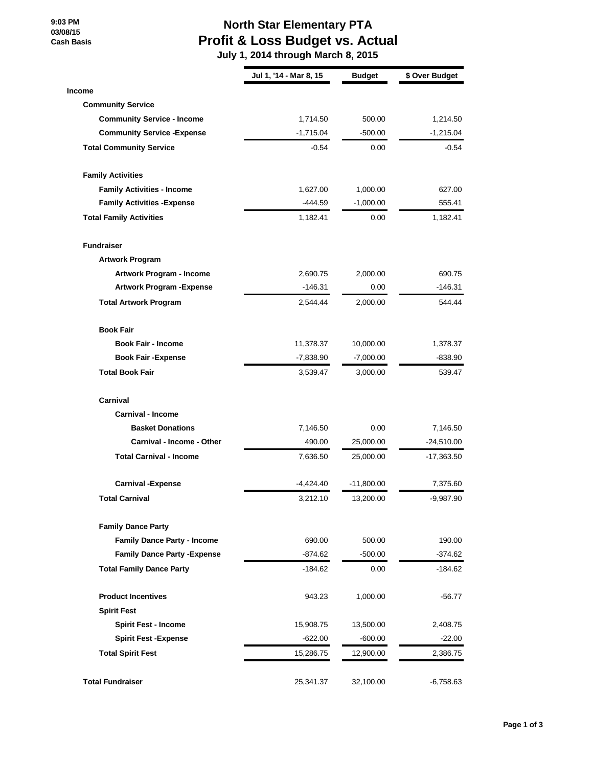**9:03 PM 03/08/15 Cash Basis**

## **North Star Elementary PTA Profit & Loss Budget vs. Actual**

 **July 1, 2014 through March 8, 2015**

|                                     | Jul 1, '14 - Mar 8, 15 | <b>Budget</b> | \$ Over Budget |
|-------------------------------------|------------------------|---------------|----------------|
| <b>Income</b>                       |                        |               |                |
| <b>Community Service</b>            |                        |               |                |
| <b>Community Service - Income</b>   | 1,714.50               | 500.00        | 1,214.50       |
| <b>Community Service - Expense</b>  | $-1,715.04$            | $-500.00$     | $-1,215.04$    |
| <b>Total Community Service</b>      | $-0.54$                | 0.00          | $-0.54$        |
| <b>Family Activities</b>            |                        |               |                |
| <b>Family Activities - Income</b>   | 1,627.00               | 1,000.00      | 627.00         |
| <b>Family Activities - Expense</b>  | -444.59                | $-1,000.00$   | 555.41         |
| <b>Total Family Activities</b>      | 1,182.41               | 0.00          | 1,182.41       |
| <b>Fundraiser</b>                   |                        |               |                |
| <b>Artwork Program</b>              |                        |               |                |
| Artwork Program - Income            | 2,690.75               | 2,000.00      | 690.75         |
| <b>Artwork Program - Expense</b>    | $-146.31$              | 0.00          | $-146.31$      |
| <b>Total Artwork Program</b>        | 2,544.44               | 2,000.00      | 544.44         |
| <b>Book Fair</b>                    |                        |               |                |
| <b>Book Fair - Income</b>           | 11,378.37              | 10,000.00     | 1,378.37       |
| <b>Book Fair - Expense</b>          | $-7,838.90$            | $-7,000.00$   | $-838.90$      |
| <b>Total Book Fair</b>              | 3,539.47               | 3,000.00      | 539.47         |
| Carnival                            |                        |               |                |
| <b>Carnival - Income</b>            |                        |               |                |
| <b>Basket Donations</b>             | 7,146.50               | 0.00          | 7,146.50       |
| Carnival - Income - Other           | 490.00                 | 25,000.00     | $-24,510.00$   |
| <b>Total Carnival - Income</b>      | 7,636.50               | 25,000.00     | $-17,363.50$   |
| <b>Carnival -Expense</b>            | -4,424.40              | $-11,800.00$  | 7,375.60       |
| <b>Total Carnival</b>               | 3,212.10               | 13,200.00     | -9,987.90      |
| <b>Family Dance Party</b>           |                        |               |                |
| <b>Family Dance Party - Income</b>  | 690.00                 | 500.00        | 190.00         |
| <b>Family Dance Party - Expense</b> | -874.62                | $-500.00$     | $-374.62$      |
| <b>Total Family Dance Party</b>     | -184.62                | 0.00          | -184.62        |
| <b>Product Incentives</b>           | 943.23                 | 1,000.00      | $-56.77$       |
| <b>Spirit Fest</b>                  |                        |               |                |
| <b>Spirit Fest - Income</b>         | 15,908.75              | 13,500.00     | 2,408.75       |
| <b>Spirit Fest -Expense</b>         | $-622.00$              | $-600.00$     | $-22.00$       |
| <b>Total Spirit Fest</b>            | 15,286.75              | 12,900.00     | 2,386.75       |
| <b>Total Fundraiser</b>             | 25,341.37              | 32,100.00     | $-6,758.63$    |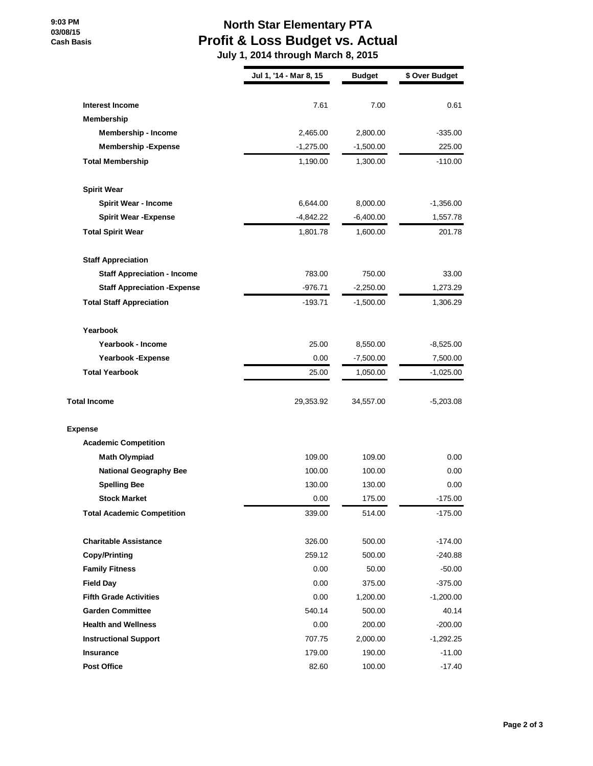## **9:03 PM 03/08/15 Cash Basis**

## **North Star Elementary PTA Profit & Loss Budget vs. Actual**

 **July 1, 2014 through March 8, 2015**

|                                      | Jul 1, '14 - Mar 8, 15 | <b>Budget</b> | \$ Over Budget |
|--------------------------------------|------------------------|---------------|----------------|
|                                      |                        |               |                |
| <b>Interest Income</b><br>Membership | 7.61                   | 7.00          | 0.61           |
| <b>Membership - Income</b>           | 2,465.00               | 2,800.00      | $-335.00$      |
| <b>Membership - Expense</b>          | $-1,275.00$            | $-1,500.00$   | 225.00         |
| <b>Total Membership</b>              | 1,190.00               | 1,300.00      | $-110.00$      |
|                                      |                        |               |                |
| <b>Spirit Wear</b>                   |                        |               |                |
| <b>Spirit Wear - Income</b>          | 6,644.00               | 8,000.00      | $-1,356.00$    |
| <b>Spirit Wear - Expense</b>         | -4,842.22              | $-6,400.00$   | 1,557.78       |
| <b>Total Spirit Wear</b>             | 1,801.78               | 1,600.00      | 201.78         |
| <b>Staff Appreciation</b>            |                        |               |                |
| <b>Staff Appreciation - Income</b>   | 783.00                 | 750.00        | 33.00          |
| <b>Staff Appreciation - Expense</b>  | $-976.71$              | $-2,250.00$   | 1,273.29       |
| <b>Total Staff Appreciation</b>      | $-193.71$              | $-1,500.00$   | 1,306.29       |
| Yearbook                             |                        |               |                |
| Yearbook - Income                    | 25.00                  | 8,550.00      | $-8,525.00$    |
| Yearbook - Expense                   | 0.00                   | $-7,500.00$   | 7,500.00       |
| <b>Total Yearbook</b>                | 25.00                  | 1,050.00      | $-1,025.00$    |
| <b>Total Income</b>                  | 29,353.92              | 34,557.00     | $-5,203.08$    |
| <b>Expense</b>                       |                        |               |                |
| <b>Academic Competition</b>          |                        |               |                |
| <b>Math Olympiad</b>                 | 109.00                 | 109.00        | 0.00           |
| <b>National Geography Bee</b>        | 100.00                 | 100.00        | 0.00           |
| <b>Spelling Bee</b>                  | 130.00                 | 130.00        | 0.00           |
| <b>Stock Market</b>                  | 0.00                   | 175.00        | $-175.00$      |
| <b>Total Academic Competition</b>    | 339.00                 | 514.00        | $-175.00$      |
| <b>Charitable Assistance</b>         | 326.00                 | 500.00        | $-174.00$      |
| <b>Copy/Printing</b>                 | 259.12                 | 500.00        | $-240.88$      |
| <b>Family Fitness</b>                | 0.00                   | 50.00         | $-50.00$       |
| <b>Field Day</b>                     | 0.00                   | 375.00        | $-375.00$      |
| <b>Fifth Grade Activities</b>        | 0.00                   | 1,200.00      | $-1,200.00$    |
| <b>Garden Committee</b>              | 540.14                 | 500.00        | 40.14          |
| <b>Health and Wellness</b>           | 0.00                   | 200.00        | $-200.00$      |
| <b>Instructional Support</b>         | 707.75                 | 2,000.00      | $-1,292.25$    |
| <b>Insurance</b>                     | 179.00                 | 190.00        | $-11.00$       |
| <b>Post Office</b>                   | 82.60                  | 100.00        | $-17.40$       |